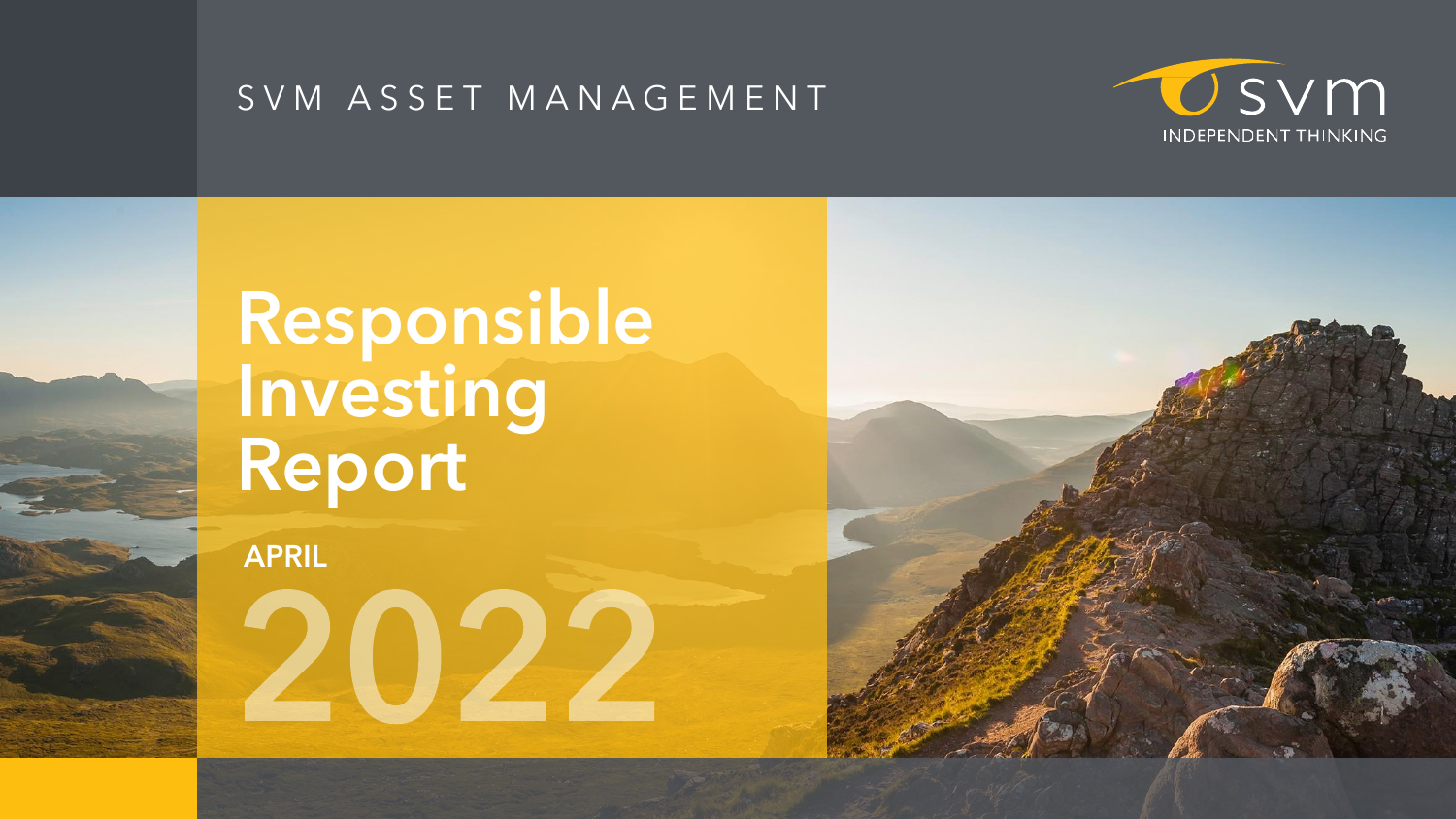#### S V M A S S E T M A N A G E M E N T

# **Responsible Investing Report**

**APRIL** 



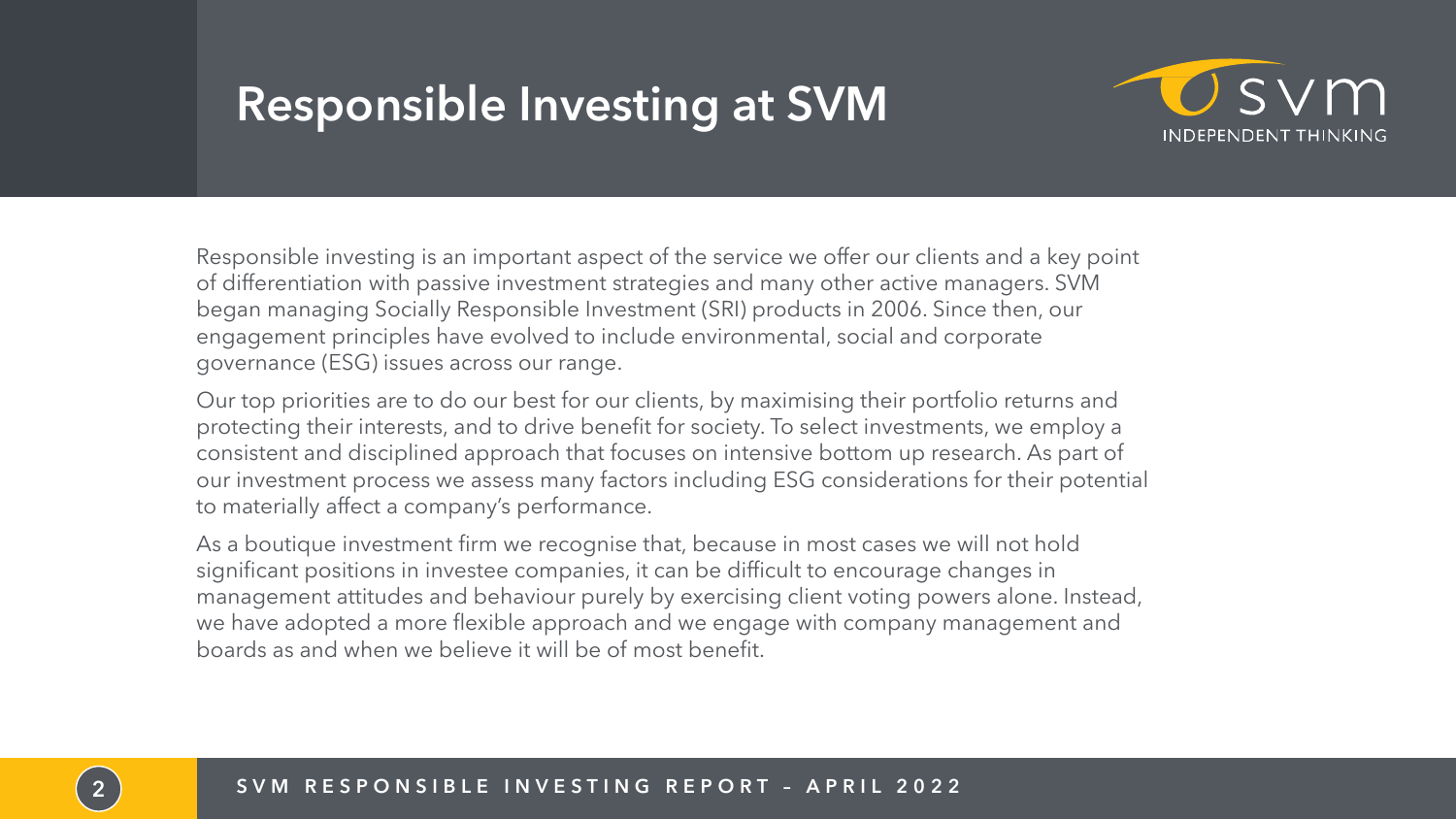## **Responsible Investing at SVM**

Responsible investing is an important aspect of the service we offer our clients and a key point of differentiation with passive investment strategies and many other active managers. SVM began managing Socially Responsible Investment (SRI) products in 2006. Since then, our engagement principles have evolved to include environmental, social and corporate governance (ESG) issues across our range.

Our top priorities are to do our best for our clients, by maximising their portfolio returns and protecting their interests, and to drive benefit for society. To select investments, we employ a consistent and disciplined approach that focuses on intensive bottom up research. As part of our investment process we assess many factors including ESG considerations for their potential to materially affect a company's performance.

As a boutique investment firm we recognise that, because in most cases we will not hold significant positions in investee companies, it can be difficult to encourage changes in management attitudes and behaviour purely by exercising client voting powers alone. Instead, we have adopted a more flexible approach and we engage with company management and boards as and when we believe it will be of most benefit.





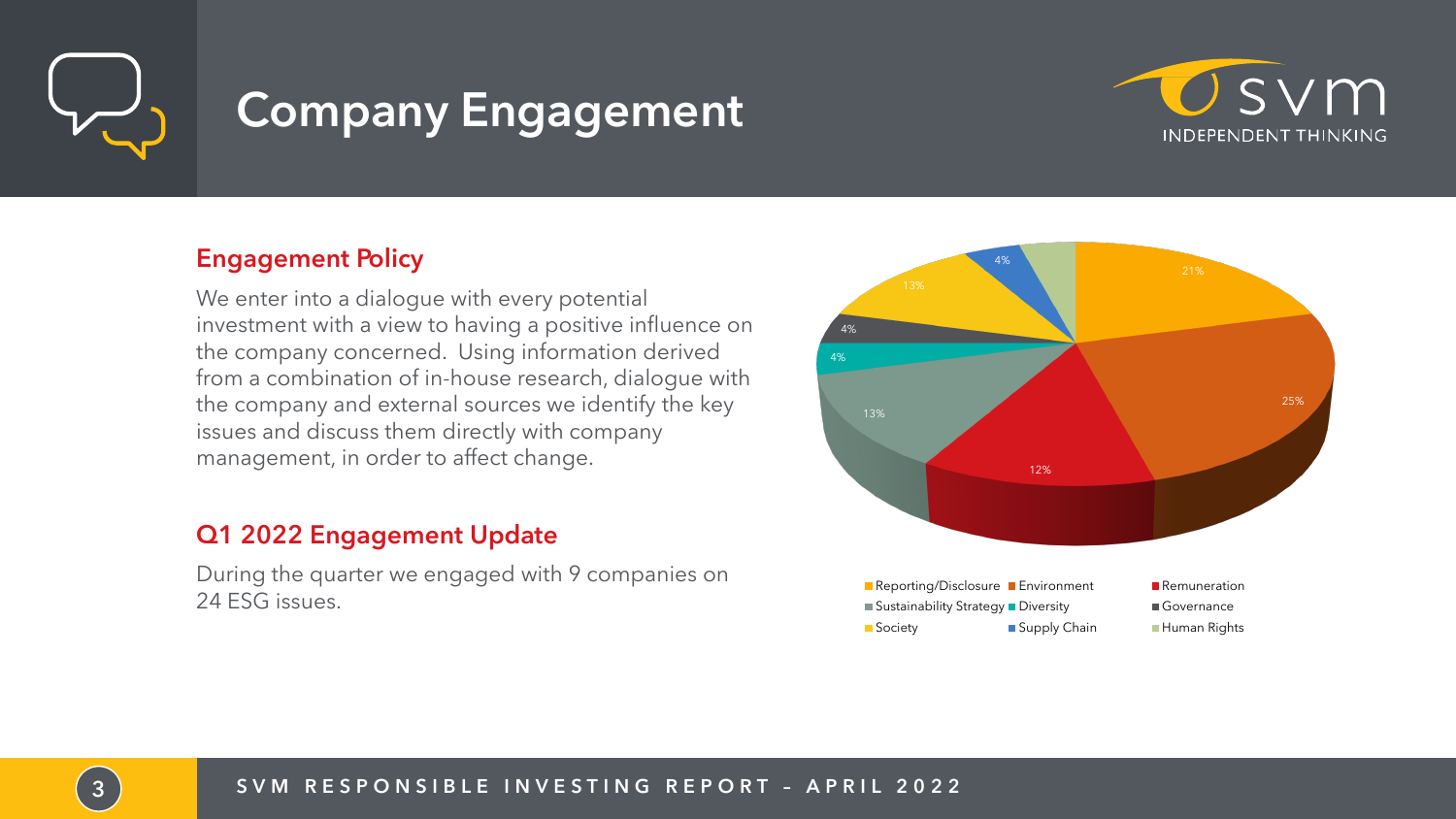

## **Company Engagement**

#### Engagement Policy

We enter into a dialogue with every potential investment with a view to having a positive influence on the company concerned. Using information derived from a combination of in-house research, dialogue with the company and external sources we identify the key issues and discuss them directly with company management, in order to affect change.

#### Q1 2022 Engagement Update

During the quarter we engaged with 9 companies on 24 ESG issues.



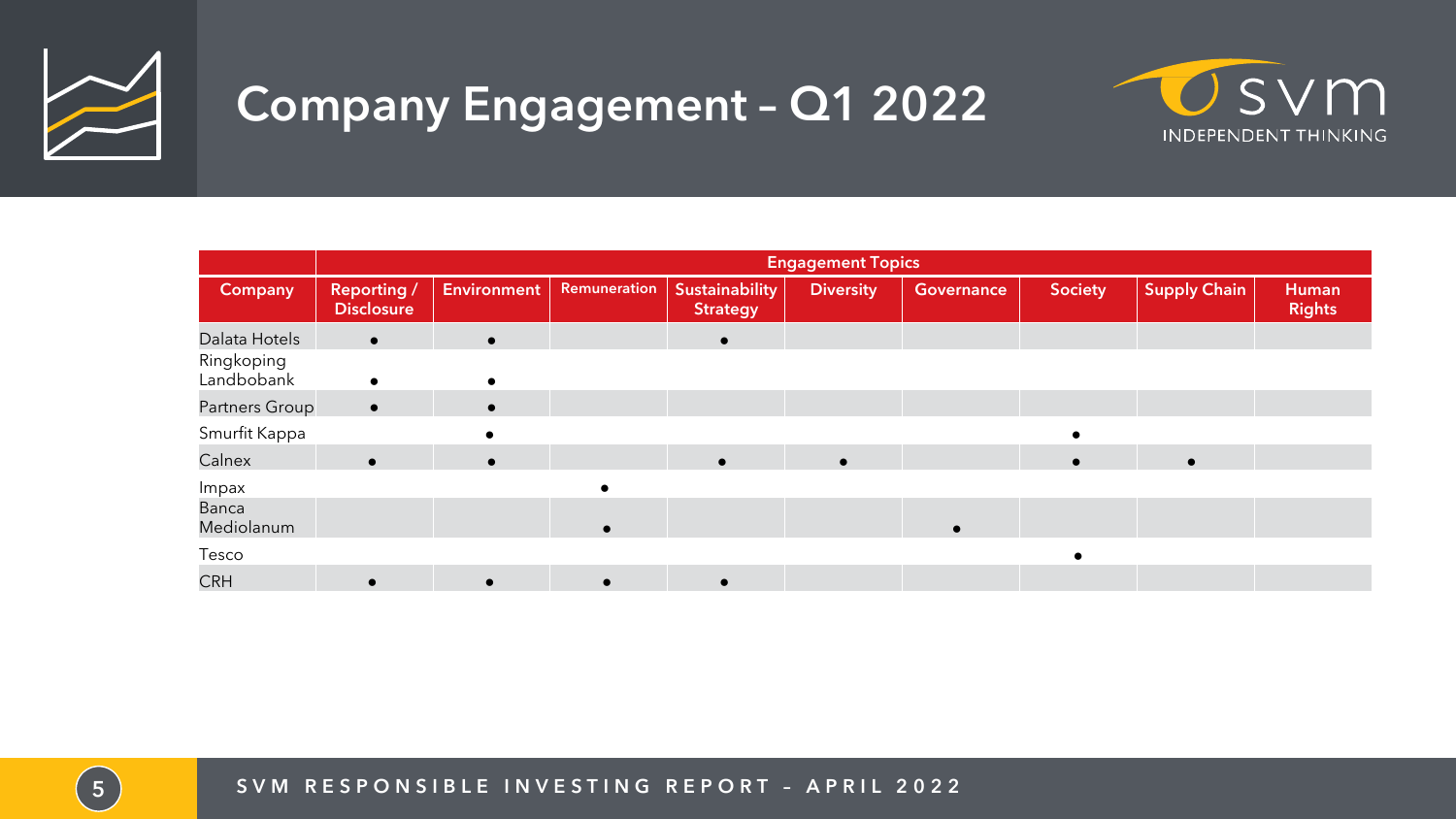

## **Company Engagement – Q1 2022**

|                            | <b>Engagement Topics</b>                |                    |              |                                   |                  |                   |                |                     |                        |
|----------------------------|-----------------------------------------|--------------------|--------------|-----------------------------------|------------------|-------------------|----------------|---------------------|------------------------|
| <b>Company</b>             | <b>Reporting /</b><br><b>Disclosure</b> | <b>Environment</b> | Remuneration | Sustainability<br><b>Strategy</b> | <b>Diversity</b> | <b>Governance</b> | <b>Society</b> | <b>Supply Chain</b> | Human<br><b>Rights</b> |
| Dalata Hotels              | $\bullet$                               | $\bullet$          |              | $\bullet$                         |                  |                   |                |                     |                        |
| Ringkoping<br>Landbobank   | $\bullet$                               | $\bullet$          |              |                                   |                  |                   |                |                     |                        |
| Partners Group             | $\bullet$                               | $\bullet$          |              |                                   |                  |                   |                |                     |                        |
| Smurfit Kappa              |                                         |                    |              |                                   |                  |                   |                |                     |                        |
| Calnex                     | $\bullet$                               | $\bullet$          |              | $\bullet$                         |                  |                   |                |                     |                        |
| Impax                      |                                         |                    |              |                                   |                  |                   |                |                     |                        |
| <b>Banca</b><br>Mediolanum |                                         |                    |              |                                   |                  |                   |                |                     |                        |
| Tesco                      |                                         |                    |              |                                   |                  |                   |                |                     |                        |
| <b>CRH</b>                 |                                         | $\bullet$          |              | $\bullet$                         |                  |                   |                |                     |                        |

5) SVM RESPONSIBLE INVESTING REPORT - APRIL 2022

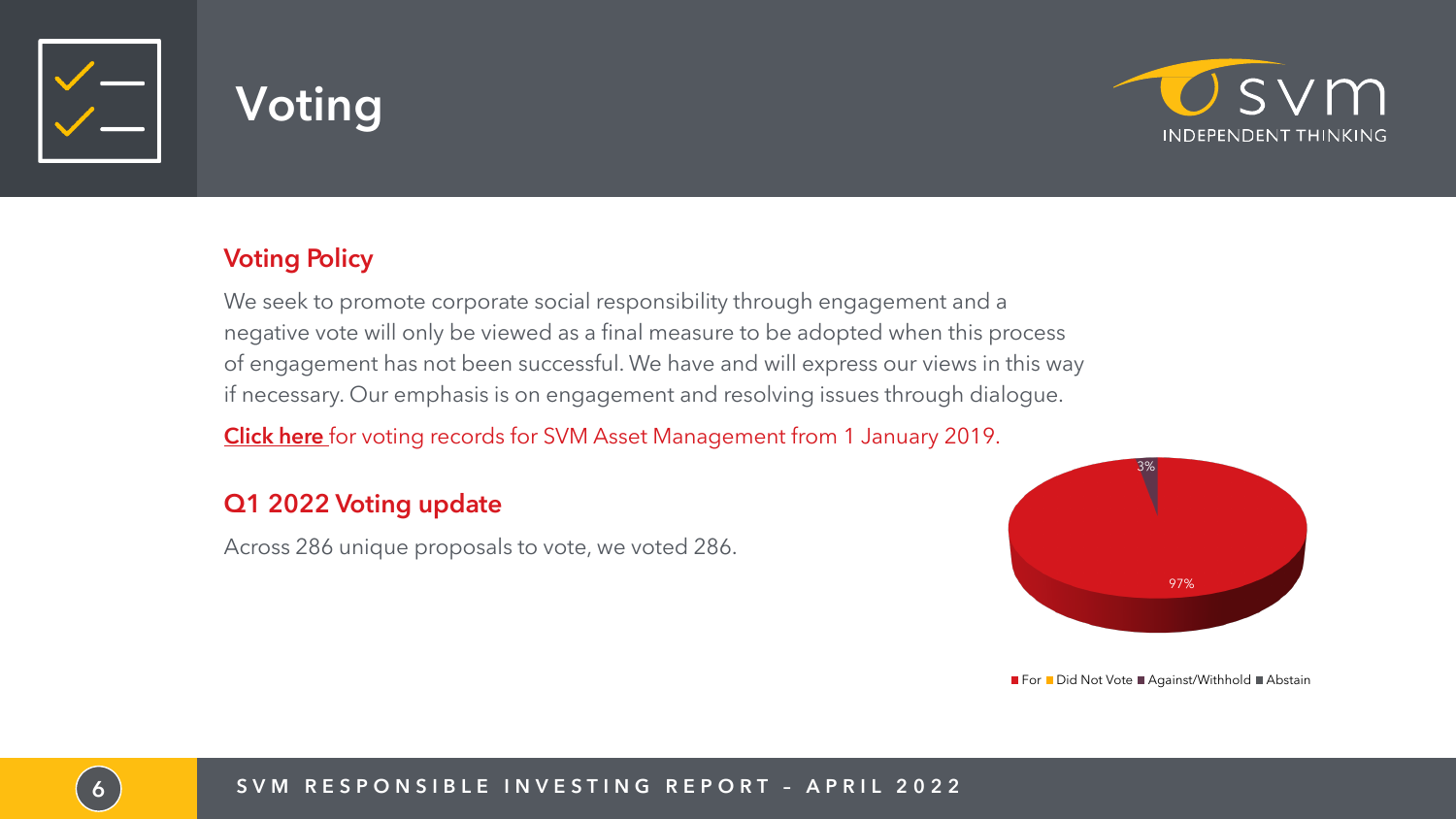



#### **Voting Policy**

We seek to promote corporate social responsibility through engagement and a negative vote will only be viewed as a final measure to be adopted when this process of engagement has not been successful. We have and will express our views in this way if necessary. Our emphasis is on engagement and resolving issues through dialogue.

[Click here](https://vds.issgovernance.com/vds/#/MTA4NDc=/) for voting records for SVM Asset Management from 1 January 2019.

#### Q1 2022 Voting update

Across 286 unique proposals to vote, we voted 286.





- 
- 
- 
- 
- 



 $\blacksquare$  For  $\blacksquare$  Did Not Vote  $\blacksquare$  Against/Withhold  $\blacksquare$  Abstain

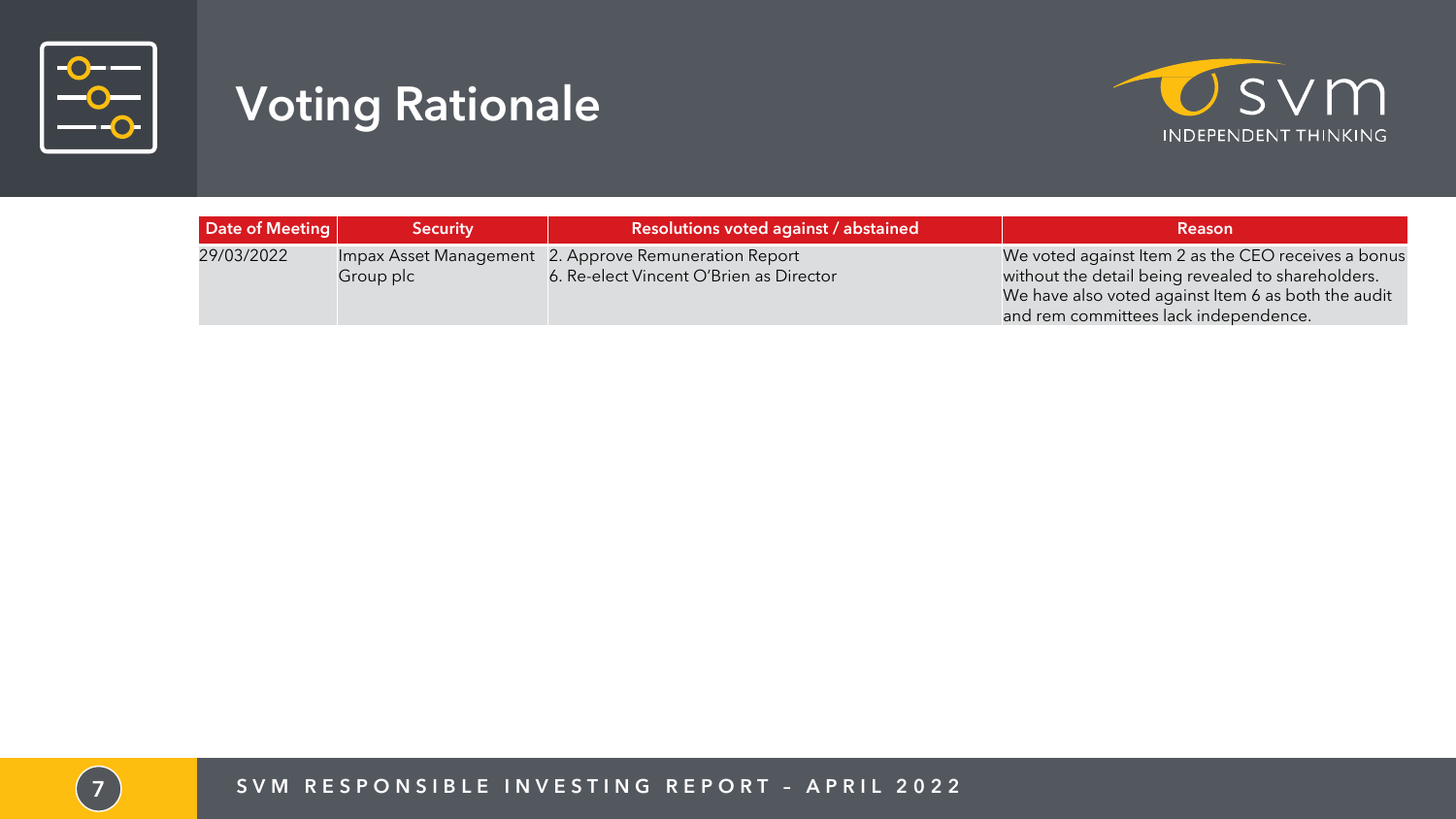

## **Voting Rationale**

7 S V M R E S P O N S I B L E I N V E S T I N G R E P O R T – A P R I L 2 0 2 2



| Date of Meeting | <b>Security</b> | <b>Resolutions voted against / abstained</b>                                                     | <b>Reason</b>                                                                                                                                                                                             |
|-----------------|-----------------|--------------------------------------------------------------------------------------------------|-----------------------------------------------------------------------------------------------------------------------------------------------------------------------------------------------------------|
| 29/03/2022      | Group plc       | Impax Asset Management 2. Approve Remuneration Report<br>6. Re-elect Vincent O'Brien as Director | We voted against Item 2 as the CEO receives a bonus<br>without the detail being revealed to shareholders.<br>We have also voted against Item 6 as both the audit<br>and rem committees lack independence. |

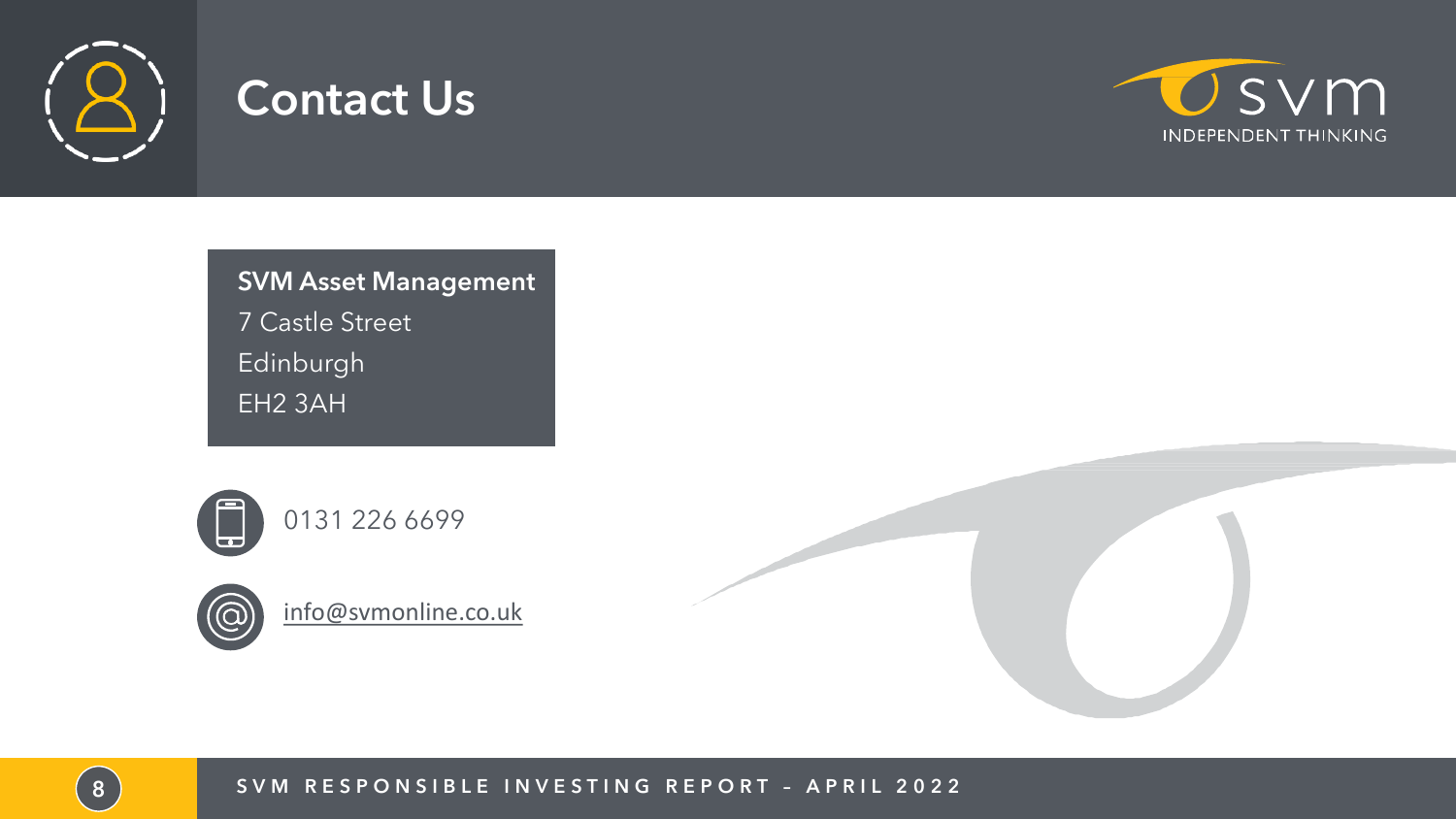

### **Contact Us**

**SVM Asset Management**  7 Castle Street Edinburgh EH2 3AH





[info@svmonline.co.uk](mailto:grobinson@svmonline.co.uk)

8 SVM RESPONSIBLE INVESTING REPORT - APRIL 2022